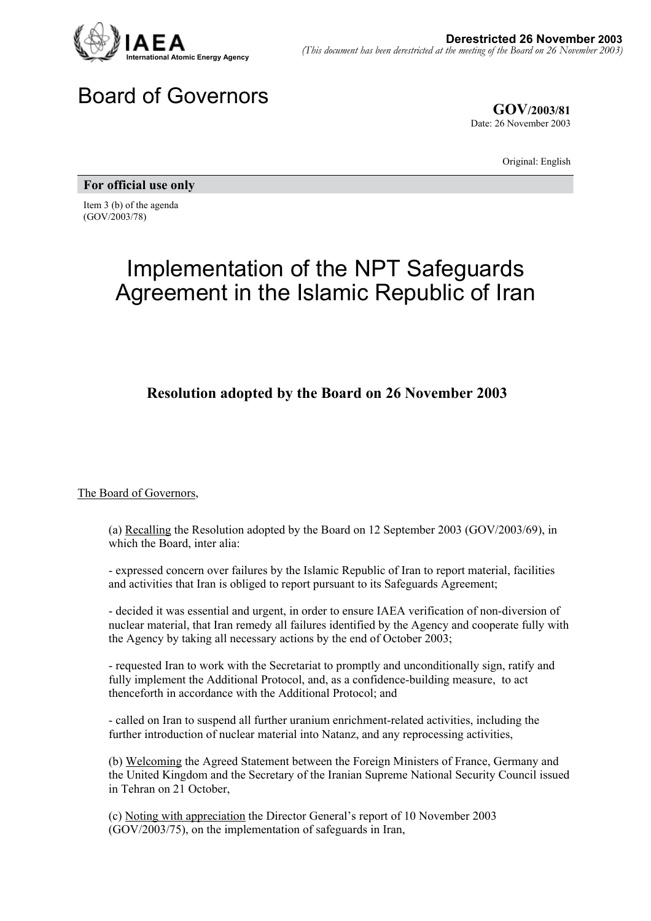

## Board of Governors

**GOV/2003/81** Date: 26 November 2003

Original: English

**For official use only** 

Item 3 (b) of the agenda (GOV/2003/78)

## Implementation of the NPT Safeguards Agreement in the Islamic Republic of Iran

## **Resolution adopted by the Board on 26 November 2003**

The Board of Governors,

(a) Recalling the Resolution adopted by the Board on 12 September 2003 (GOV/2003/69), in which the Board, inter alia:

- expressed concern over failures by the Islamic Republic of Iran to report material, facilities and activities that Iran is obliged to report pursuant to its Safeguards Agreement;

- decided it was essential and urgent, in order to ensure IAEA verification of non-diversion of nuclear material, that Iran remedy all failures identified by the Agency and cooperate fully with the Agency by taking all necessary actions by the end of October 2003;

- requested Iran to work with the Secretariat to promptly and unconditionally sign, ratify and fully implement the Additional Protocol, and, as a confidence-building measure, to act thenceforth in accordance with the Additional Protocol; and

- called on Iran to suspend all further uranium enrichment-related activities, including the further introduction of nuclear material into Natanz, and any reprocessing activities,

(b) Welcoming the Agreed Statement between the Foreign Ministers of France, Germany and the United Kingdom and the Secretary of the Iranian Supreme National Security Council issued in Tehran on 21 October,

(c) Noting with appreciation the Director General's report of 10 November 2003 (GOV/2003/75), on the implementation of safeguards in Iran,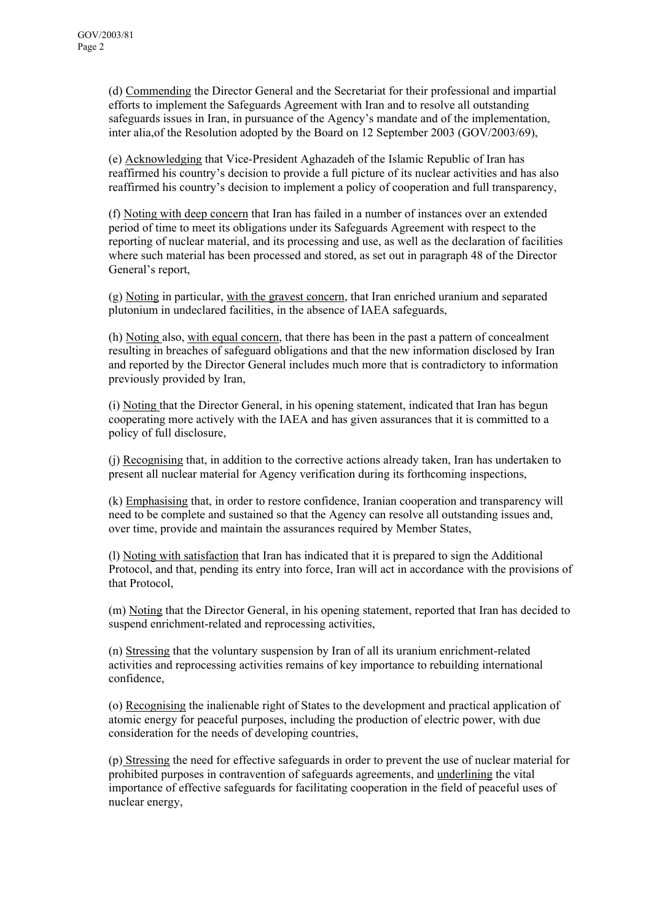(d) Commending the Director General and the Secretariat for their professional and impartial efforts to implement the Safeguards Agreement with Iran and to resolve all outstanding safeguards issues in Iran, in pursuance of the Agency's mandate and of the implementation, inter alia,of the Resolution adopted by the Board on 12 September 2003 (GOV/2003/69),

(e) Acknowledging that Vice-President Aghazadeh of the Islamic Republic of Iran has reaffirmed his country's decision to provide a full picture of its nuclear activities and has also reaffirmed his country's decision to implement a policy of cooperation and full transparency,

(f) Noting with deep concern that Iran has failed in a number of instances over an extended period of time to meet its obligations under its Safeguards Agreement with respect to the reporting of nuclear material, and its processing and use, as well as the declaration of facilities where such material has been processed and stored, as set out in paragraph 48 of the Director General's report,

(g) Noting in particular, with the gravest concern, that Iran enriched uranium and separated plutonium in undeclared facilities, in the absence of IAEA safeguards,

(h) Noting also, with equal concern, that there has been in the past a pattern of concealment resulting in breaches of safeguard obligations and that the new information disclosed by Iran and reported by the Director General includes much more that is contradictory to information previously provided by Iran,

(i) Noting that the Director General, in his opening statement, indicated that Iran has begun cooperating more actively with the IAEA and has given assurances that it is committed to a policy of full disclosure,

(j) Recognising that, in addition to the corrective actions already taken, Iran has undertaken to present all nuclear material for Agency verification during its forthcoming inspections,

(k) Emphasising that, in order to restore confidence, Iranian cooperation and transparency will need to be complete and sustained so that the Agency can resolve all outstanding issues and, over time, provide and maintain the assurances required by Member States,

(l) Noting with satisfaction that Iran has indicated that it is prepared to sign the Additional Protocol, and that, pending its entry into force, Iran will act in accordance with the provisions of that Protocol,

(m) Noting that the Director General, in his opening statement, reported that Iran has decided to suspend enrichment-related and reprocessing activities,

(n) Stressing that the voluntary suspension by Iran of all its uranium enrichment-related activities and reprocessing activities remains of key importance to rebuilding international confidence,

(o) Recognising the inalienable right of States to the development and practical application of atomic energy for peaceful purposes, including the production of electric power, with due consideration for the needs of developing countries,

(p) Stressing the need for effective safeguards in order to prevent the use of nuclear material for prohibited purposes in contravention of safeguards agreements, and underlining the vital importance of effective safeguards for facilitating cooperation in the field of peaceful uses of nuclear energy,